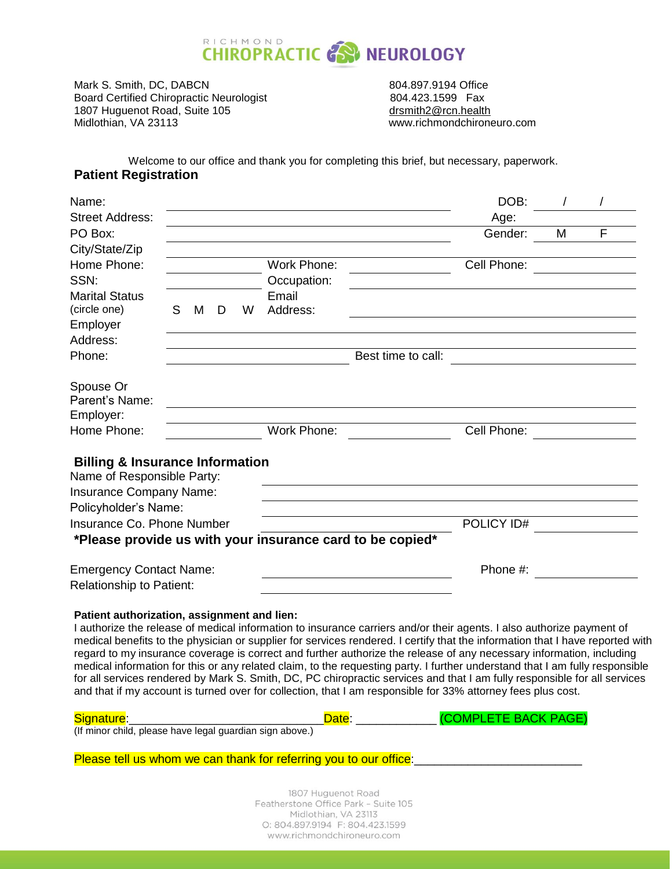

Mark S. Smith, DC, DABCN 804.897.9194 Office Board Certified Chiropractic Neurologist<br>1807 Huguenot Road, Suite 105 **Martias Constructs** desmith2@rcn.health 1807 Huguenot Road, Suite 105<br>Midlothian, VA 23113

www.richmondchironeuro.com

Welcome to our office and thank you for completing this brief, but necessary, paperwork. **Patient Registration**

| Name:                                                                    |    |   |   |   |             |                                                                                                                            | DOB:        |   |   |
|--------------------------------------------------------------------------|----|---|---|---|-------------|----------------------------------------------------------------------------------------------------------------------------|-------------|---|---|
| <b>Street Address:</b>                                                   |    |   |   |   |             |                                                                                                                            | Age:        |   |   |
| PO Box:                                                                  |    |   |   |   |             |                                                                                                                            | Gender:     | M | F |
| City/State/Zip                                                           |    |   |   |   |             |                                                                                                                            |             |   |   |
| Home Phone:                                                              |    |   |   |   | Work Phone: |                                                                                                                            | Cell Phone: |   |   |
| SSN:                                                                     |    |   |   |   | Occupation: |                                                                                                                            |             |   |   |
| <b>Marital Status</b>                                                    |    |   |   |   | Email       |                                                                                                                            |             |   |   |
| (circle one)                                                             | S. | M | D | W | Address:    |                                                                                                                            |             |   |   |
| Employer                                                                 |    |   |   |   |             |                                                                                                                            |             |   |   |
| Address:                                                                 |    |   |   |   |             |                                                                                                                            |             |   |   |
| Phone:                                                                   |    |   |   |   |             | Best time to call:                                                                                                         |             |   |   |
|                                                                          |    |   |   |   |             |                                                                                                                            |             |   |   |
| Spouse Or                                                                |    |   |   |   |             |                                                                                                                            |             |   |   |
| Parent's Name:                                                           |    |   |   |   |             |                                                                                                                            |             |   |   |
| Employer:                                                                |    |   |   |   |             |                                                                                                                            |             |   |   |
| Home Phone:                                                              |    |   |   |   | Work Phone: |                                                                                                                            | Cell Phone: |   |   |
|                                                                          |    |   |   |   |             |                                                                                                                            |             |   |   |
| <b>Billing &amp; Insurance Information</b><br>Name of Responsible Party: |    |   |   |   |             |                                                                                                                            |             |   |   |
|                                                                          |    |   |   |   |             |                                                                                                                            |             |   |   |
| Insurance Company Name:<br>Policyholder's Name:                          |    |   |   |   |             |                                                                                                                            |             |   |   |
| Insurance Co. Phone Number                                               |    |   |   |   |             |                                                                                                                            | POLICY ID#  |   |   |
|                                                                          |    |   |   |   |             |                                                                                                                            |             |   |   |
|                                                                          |    |   |   |   |             | *Please provide us with your insurance card to be copied*                                                                  |             |   |   |
| <b>Emergency Contact Name:</b>                                           |    |   |   |   |             |                                                                                                                            | Phone #:    |   |   |
| <b>Relationship to Patient:</b>                                          |    |   |   |   |             |                                                                                                                            |             |   |   |
|                                                                          |    |   |   |   |             |                                                                                                                            |             |   |   |
| Patient authorization, assignment and lien:                              |    |   |   |   |             |                                                                                                                            |             |   |   |
|                                                                          |    |   |   |   |             | I authorize the release of medical information to insurance carriers and/or their agents. I also authorize payment of      |             |   |   |
|                                                                          |    |   |   |   |             | medical benefits to the physician or supplier for services rendered. I certify that the information that I have reported w |             |   |   |
|                                                                          |    |   |   |   |             | regard to my insurance coverage is correct and further authorize the release of any necessary information, including       |             |   |   |

medical benefits to the physician or supplier for services rendered. I certify that the information that I have reported with medical information for this or any related claim, to the requesting party. I further understand that I am fully responsible for all services rendered by Mark S. Smith, DC, PC chiropractic services and that I am fully responsible for all services and that if my account is turned over for collection, that I am responsible for 33% attorney fees plus cost.

| Signature:                                               | Date | (COMPLETE BACK PAGE) |
|----------------------------------------------------------|------|----------------------|
| (If minor child, please have legal guardian sign above.) |      |                      |

Please tell us whom we can thank for referring you to our office:

1807 Huguenot Road Featherstone Office Park - Suite 105 Midlothian, VA 23113 O: 804.897.9194 F: 804.423.1599 www.richmondchironeuro.com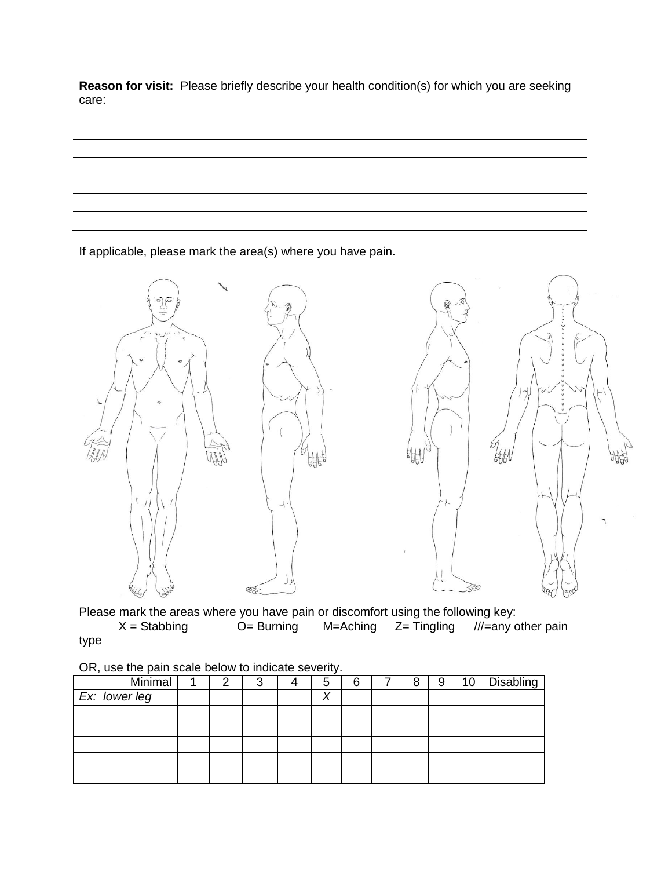**Reason for visit:** Please briefly describe your health condition(s) for which you are seeking care:

If applicable, please mark the area(s) where you have pain.



Please mark the areas where you have pain or discomfort using the following key:<br> $X =$  Stabbing  $O =$  Burning  $M =$ Aching  $Z =$  Tingling  $M =$ any c  $M=$ any other pain type

| On, asc the pair searc below to indicate severity. |  |  |   |  |   |   |  |   |   |    |           |
|----------------------------------------------------|--|--|---|--|---|---|--|---|---|----|-----------|
| Minimal                                            |  |  | 3 |  | 5 | 6 |  | 8 | 9 | 10 | Disabling |
| Ex: lower leg                                      |  |  |   |  | Χ |   |  |   |   |    |           |
|                                                    |  |  |   |  |   |   |  |   |   |    |           |
|                                                    |  |  |   |  |   |   |  |   |   |    |           |
|                                                    |  |  |   |  |   |   |  |   |   |    |           |
|                                                    |  |  |   |  |   |   |  |   |   |    |           |
|                                                    |  |  |   |  |   |   |  |   |   |    |           |

OR, use the pain scale below to indicate severity.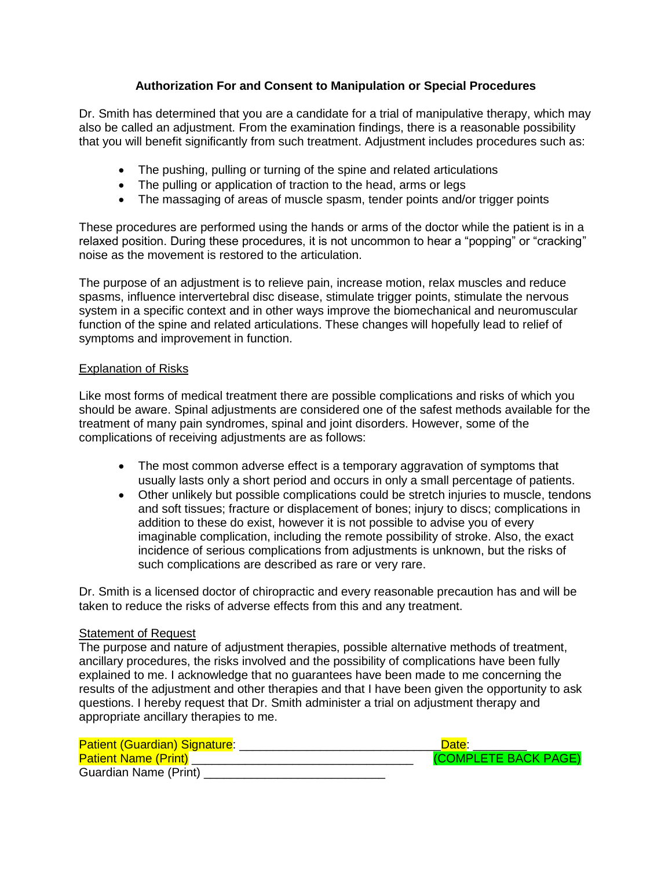## **Authorization For and Consent to Manipulation or Special Procedures**

Dr. Smith has determined that you are a candidate for a trial of manipulative therapy, which may also be called an adjustment. From the examination findings, there is a reasonable possibility that you will benefit significantly from such treatment. Adjustment includes procedures such as:

- The pushing, pulling or turning of the spine and related articulations
- The pulling or application of traction to the head, arms or legs
- The massaging of areas of muscle spasm, tender points and/or trigger points

These procedures are performed using the hands or arms of the doctor while the patient is in a relaxed position. During these procedures, it is not uncommon to hear a "popping" or "cracking" noise as the movement is restored to the articulation.

The purpose of an adjustment is to relieve pain, increase motion, relax muscles and reduce spasms, influence intervertebral disc disease, stimulate trigger points, stimulate the nervous system in a specific context and in other ways improve the biomechanical and neuromuscular function of the spine and related articulations. These changes will hopefully lead to relief of symptoms and improvement in function.

## Explanation of Risks

Like most forms of medical treatment there are possible complications and risks of which you should be aware. Spinal adjustments are considered one of the safest methods available for the treatment of many pain syndromes, spinal and joint disorders. However, some of the complications of receiving adjustments are as follows:

- The most common adverse effect is a temporary aggravation of symptoms that usually lasts only a short period and occurs in only a small percentage of patients.
- Other unlikely but possible complications could be stretch injuries to muscle, tendons and soft tissues; fracture or displacement of bones; injury to discs; complications in addition to these do exist, however it is not possible to advise you of every imaginable complication, including the remote possibility of stroke. Also, the exact incidence of serious complications from adjustments is unknown, but the risks of such complications are described as rare or very rare.

Dr. Smith is a licensed doctor of chiropractic and every reasonable precaution has and will be taken to reduce the risks of adverse effects from this and any treatment.

## **Statement of Request**

The purpose and nature of adjustment therapies, possible alternative methods of treatment, ancillary procedures, the risks involved and the possibility of complications have been fully explained to me. I acknowledge that no guarantees have been made to me concerning the results of the adjustment and other therapies and that I have been given the opportunity to ask questions. I hereby request that Dr. Smith administer a trial on adjustment therapy and appropriate ancillary therapies to me.

| <b>Patient (Guardian) Signature:</b> | Date:                |
|--------------------------------------|----------------------|
| <b>Patient Name (Print)</b>          | (COMPLETE BACK PAGE) |
| Guardian Name (Print)                |                      |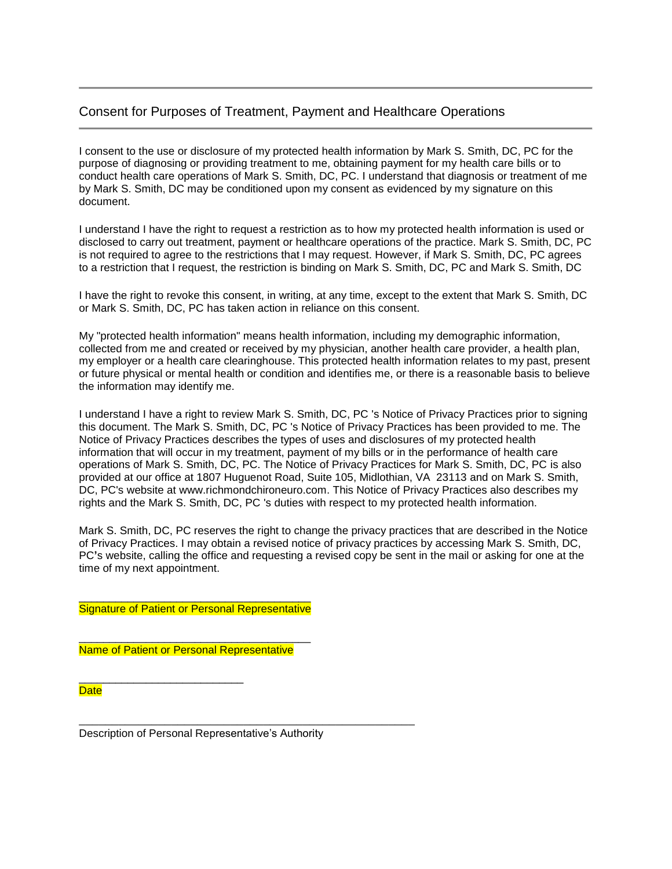## Consent for Purposes of Treatment, Payment and Healthcare Operations

I consent to the use or disclosure of my protected health information by Mark S. Smith, DC, PC for the purpose of diagnosing or providing treatment to me, obtaining payment for my health care bills or to conduct health care operations of Mark S. Smith, DC, PC. I understand that diagnosis or treatment of me by Mark S. Smith, DC may be conditioned upon my consent as evidenced by my signature on this document.

I understand I have the right to request a restriction as to how my protected health information is used or disclosed to carry out treatment, payment or healthcare operations of the practice. Mark S. Smith, DC, PC is not required to agree to the restrictions that I may request. However, if Mark S. Smith, DC, PC agrees to a restriction that I request, the restriction is binding on Mark S. Smith, DC, PC and Mark S. Smith, DC

I have the right to revoke this consent, in writing, at any time, except to the extent that Mark S. Smith, DC or Mark S. Smith, DC, PC has taken action in reliance on this consent.

My "protected health information" means health information, including my demographic information, collected from me and created or received by my physician, another health care provider, a health plan, my employer or a health care clearinghouse. This protected health information relates to my past, present or future physical or mental health or condition and identifies me, or there is a reasonable basis to believe the information may identify me.

I understand I have a right to review Mark S. Smith, DC, PC 's Notice of Privacy Practices prior to signing this document. The Mark S. Smith, DC, PC 's Notice of Privacy Practices has been provided to me. The Notice of Privacy Practices describes the types of uses and disclosures of my protected health information that will occur in my treatment, payment of my bills or in the performance of health care operations of Mark S. Smith, DC, PC. The Notice of Privacy Practices for Mark S. Smith, DC, PC is also provided at our office at 1807 Huguenot Road, Suite 105, Midlothian, VA 23113 and on Mark S. Smith, DC, PC's website at www.richmondchironeuro.com. This Notice of Privacy Practices also describes my rights and the Mark S. Smith, DC, PC 's duties with respect to my protected health information.

Mark S. Smith, DC, PC reserves the right to change the privacy practices that are described in the Notice of Privacy Practices. I may obtain a revised notice of privacy practices by accessing Mark S. Smith, DC, PC**'**s website, calling the office and requesting a revised copy be sent in the mail or asking for one at the time of my next appointment.

\_\_\_\_\_\_\_\_\_\_\_\_\_\_\_\_\_\_\_\_\_\_\_\_\_\_\_\_\_\_\_\_\_\_\_\_\_\_ Signature of Patient or Personal Representative

\_\_\_\_\_\_\_\_\_\_\_\_\_\_\_\_\_\_\_\_\_\_\_\_\_\_\_\_\_\_\_\_\_\_\_\_\_\_ Name of Patient or Personal Representative

\_\_\_\_\_\_\_\_\_\_\_\_\_\_\_\_\_\_\_\_\_\_\_\_\_\_\_

**Date** 

Description of Personal Representative's Authority

\_\_\_\_\_\_\_\_\_\_\_\_\_\_\_\_\_\_\_\_\_\_\_\_\_\_\_\_\_\_\_\_\_\_\_\_\_\_\_\_\_\_\_\_\_\_\_\_\_\_\_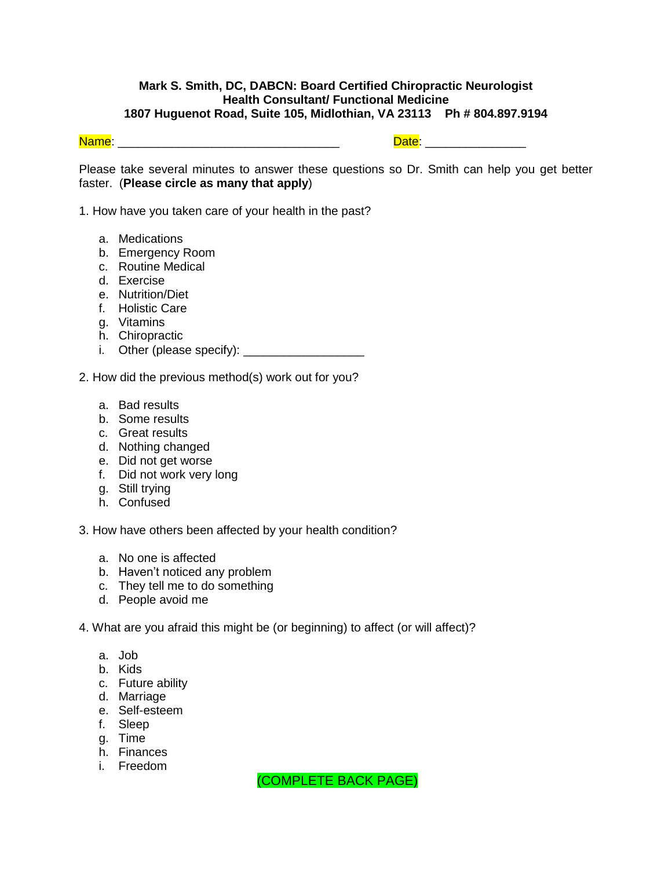## **Mark S. Smith, DC, DABCN: Board Certified Chiropractic Neurologist Health Consultant/ Functional Medicine 1807 Huguenot Road, Suite 105, Midlothian, VA 23113 Ph # 804.897.9194**

Name: \_\_\_\_\_\_\_\_\_\_\_\_\_\_\_\_\_\_\_\_\_\_\_\_\_\_\_\_\_\_\_\_\_ Date: \_\_\_\_\_\_\_\_\_\_\_\_\_\_\_

Please take several minutes to answer these questions so Dr. Smith can help you get better faster. (**Please circle as many that apply**)

1. How have you taken care of your health in the past?

- a. Medications
- b. Emergency Room
- c. Routine Medical
- d. Exercise
- e. Nutrition/Diet
- f. Holistic Care
- g. Vitamins
- h. Chiropractic
- i. Other (please specify): \_\_\_\_\_\_\_\_\_\_\_\_\_\_\_\_\_\_
- 2. How did the previous method(s) work out for you?
	- a. Bad results
	- b. Some results
	- c. Great results
	- d. Nothing changed
	- e. Did not get worse
	- f. Did not work very long
	- g. Still trying
	- h. Confused

3. How have others been affected by your health condition?

- a. No one is affected
- b. Haven't noticed any problem
- c. They tell me to do something
- d. People avoid me
- 4. What are you afraid this might be (or beginning) to affect (or will affect)?
	- a. Job
	- b. Kids
	- c. Future ability
	- d. Marriage
	- e. Self-esteem
	- f. Sleep
	- g. Time
	- h. Finances
	- i. Freedom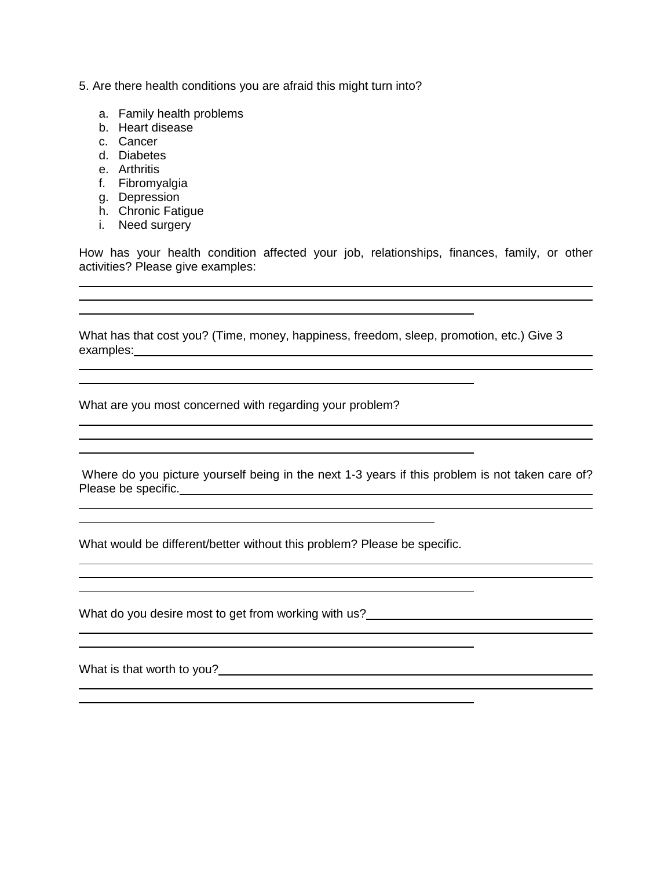- 5. Are there health conditions you are afraid this might turn into?
	- a. Family health problems
	- b. Heart disease
	- c. Cancer
	- d. Diabetes
	- e. Arthritis
	- f. Fibromyalgia
	- g. Depression
	- h. Chronic Fatigue
	- i. Need surgery

How has your health condition affected your job, relationships, finances, family, or other activities? Please give examples:

What has that cost you? (Time, money, happiness, freedom, sleep, promotion, etc.) Give 3 examples: examples:

What are you most concerned with regarding your problem?

Where do you picture yourself being in the next 1-3 years if this problem is not taken care of? Please be specific.

<u> 1980 - Johann Barbara, martxa alemaniar amerikan personal (h. 1980).</u>

j.

What would be different/better without this problem? Please be specific.

What do you desire most to get from working with us?

What is that worth to you?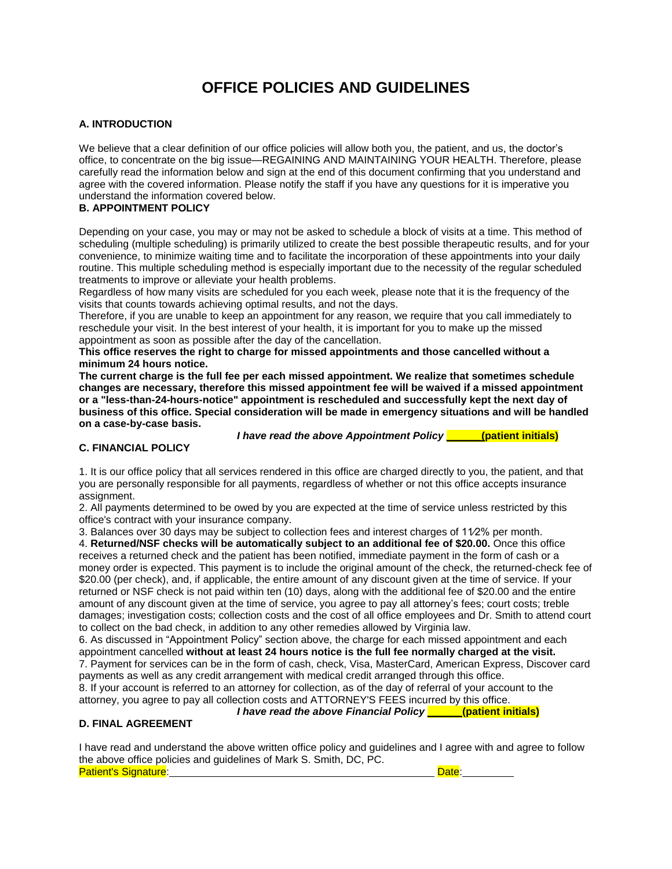## **OFFICE POLICIES AND GUIDELINES**

#### **A. INTRODUCTION**

We believe that a clear definition of our office policies will allow both you, the patient, and us, the doctor's office, to concentrate on the big issue—REGAINING AND MAINTAINING YOUR HEALTH. Therefore, please carefully read the information below and sign at the end of this document confirming that you understand and agree with the covered information. Please notify the staff if you have any questions for it is imperative you understand the information covered below.

#### **B. APPOINTMENT POLICY**

Depending on your case, you may or may not be asked to schedule a block of visits at a time. This method of scheduling (multiple scheduling) is primarily utilized to create the best possible therapeutic results, and for your convenience, to minimize waiting time and to facilitate the incorporation of these appointments into your daily routine. This multiple scheduling method is especially important due to the necessity of the regular scheduled treatments to improve or alleviate your health problems.

Regardless of how many visits are scheduled for you each week, please note that it is the frequency of the visits that counts towards achieving optimal results, and not the days.

Therefore, if you are unable to keep an appointment for any reason, we require that you call immediately to reschedule your visit. In the best interest of your health, it is important for you to make up the missed appointment as soon as possible after the day of the cancellation.

**This office reserves the right to charge for missed appointments and those cancelled without a minimum 24 hours notice.**

**The current charge is the full fee per each missed appointment. We realize that sometimes schedule changes are necessary, therefore this missed appointment fee will be waived if a missed appointment or a "less-than-24-hours-notice" appointment is rescheduled and successfully kept the next day of business of this office. Special consideration will be made in emergency situations and will be handled on a case-by-case basis.**

*I have read the above Appointment Policy \_\_\_\_\_\_***(patient initials)**

#### **C. FINANCIAL POLICY**

1. It is our office policy that all services rendered in this office are charged directly to you, the patient, and that you are personally responsible for all payments, regardless of whether or not this office accepts insurance assignment.

2. All payments determined to be owed by you are expected at the time of service unless restricted by this office's contract with your insurance company.

3. Balances over 30 days may be subject to collection fees and interest charges of 11⁄2% per month.

4. **Returned/NSF checks will be automatically subject to an additional fee of \$20.00.** Once this office receives a returned check and the patient has been notified, immediate payment in the form of cash or a money order is expected. This payment is to include the original amount of the check, the returned-check fee of \$20.00 (per check), and, if applicable, the entire amount of any discount given at the time of service. If your returned or NSF check is not paid within ten (10) days, along with the additional fee of \$20.00 and the entire amount of any discount given at the time of service, you agree to pay all attorney's fees; court costs; treble damages; investigation costs; collection costs and the cost of all office employees and Dr. Smith to attend court to collect on the bad check, in addition to any other remedies allowed by Virginia law.

6. As discussed in "Appointment Policy" section above, the charge for each missed appointment and each appointment cancelled **without at least 24 hours notice is the full fee normally charged at the visit.** 7. Payment for services can be in the form of cash, check, Visa, MasterCard, American Express, Discover card payments as well as any credit arrangement with medical credit arranged through this office. 8. If your account is referred to an attorney for collection, as of the day of referral of your account to the attorney, you agree to pay all collection costs and ATTORNEY'S FEES incurred by this office.

*I have read the above Financial Policy \_\_\_\_\_\_***(patient initials)**

#### **D. FINAL AGREEMENT**

I have read and understand the above written office policy and guidelines and I agree with and agree to follow the above office policies and guidelines of Mark S. Smith, DC, PC. **Patient's Signature:** The Contract of Contract of Contract of Contract of Contract of Contract of Contract of Contract of Contract of Contract of Contract of Contract of Contract of Contract of Contract of Contract of Con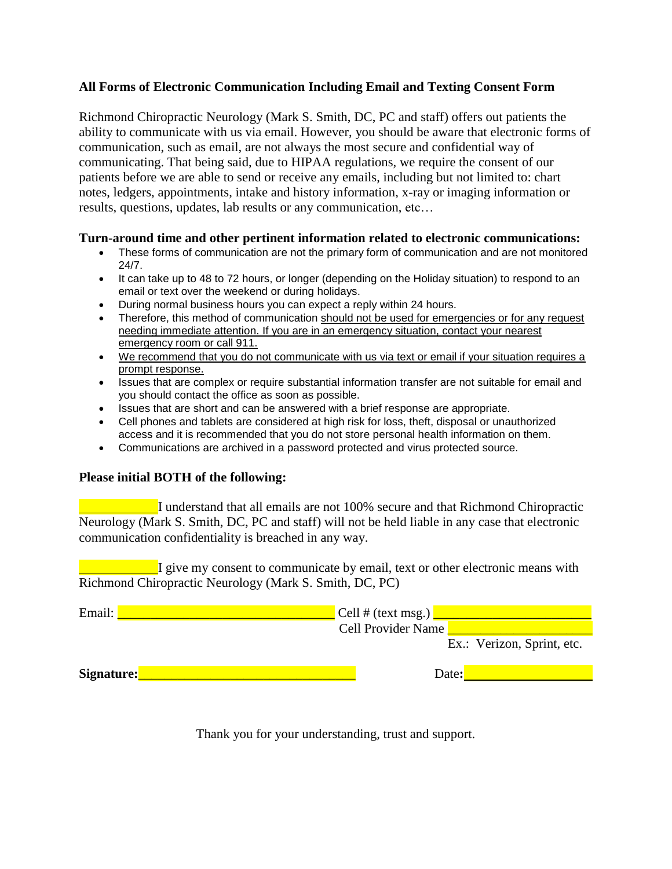## **All Forms of Electronic Communication Including Email and Texting Consent Form**

Richmond Chiropractic Neurology (Mark S. Smith, DC, PC and staff) offers out patients the ability to communicate with us via email. However, you should be aware that electronic forms of communication, such as email, are not always the most secure and confidential way of communicating. That being said, due to HIPAA regulations, we require the consent of our patients before we are able to send or receive any emails, including but not limited to: chart notes, ledgers, appointments, intake and history information, x-ray or imaging information or results, questions, updates, lab results or any communication, etc…

## **Turn-around time and other pertinent information related to electronic communications:**

- These forms of communication are not the primary form of communication and are not monitored 24/7.
- It can take up to 48 to 72 hours, or longer (depending on the Holiday situation) to respond to an email or text over the weekend or during holidays.
- During normal business hours you can expect a reply within 24 hours.
- Therefore, this method of communication should not be used for emergencies or for any request needing immediate attention. If you are in an emergency situation, contact your nearest emergency room or call 911.
- We recommend that you do not communicate with us via text or email if your situation requires a prompt response.
- Issues that are complex or require substantial information transfer are not suitable for email and you should contact the office as soon as possible.
- Issues that are short and can be answered with a brief response are appropriate.
- Cell phones and tablets are considered at high risk for loss, theft, disposal or unauthorized access and it is recommended that you do not store personal health information on them.
- Communications are archived in a password protected and virus protected source.

## **Please initial BOTH of the following:**

I understand that all emails are not 100% secure and that Richmond Chiropractic Neurology (Mark S. Smith, DC, PC and staff) will not be held liable in any case that electronic communication confidentiality is breached in any way.

I give my consent to communicate by email, text or other electronic means with Richmond Chiropractic Neurology (Mark S. Smith, DC, PC)

| Email:     | $\angle$ Cell # (text msg.) |
|------------|-----------------------------|
|            | <b>Cell Provider Name</b>   |
|            | Ex.: Verizon, Sprint, etc.  |
| Signature: | Date:                       |

Thank you for your understanding, trust and support.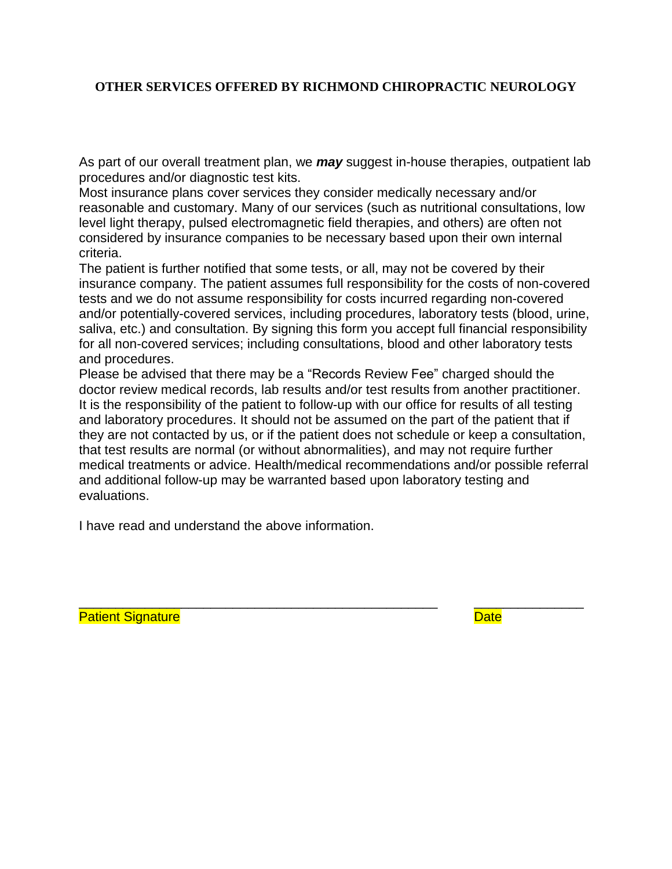## **OTHER SERVICES OFFERED BY RICHMOND CHIROPRACTIC NEUROLOGY**

As part of our overall treatment plan, we *may* suggest in-house therapies, outpatient lab procedures and/or diagnostic test kits.

Most insurance plans cover services they consider medically necessary and/or reasonable and customary. Many of our services (such as nutritional consultations, low level light therapy, pulsed electromagnetic field therapies, and others) are often not considered by insurance companies to be necessary based upon their own internal criteria.

The patient is further notified that some tests, or all, may not be covered by their insurance company. The patient assumes full responsibility for the costs of non-covered tests and we do not assume responsibility for costs incurred regarding non-covered and/or potentially-covered services, including procedures, laboratory tests (blood, urine, saliva, etc.) and consultation. By signing this form you accept full financial responsibility for all non-covered services; including consultations, blood and other laboratory tests and procedures.

Please be advised that there may be a "Records Review Fee" charged should the doctor review medical records, lab results and/or test results from another practitioner. It is the responsibility of the patient to follow-up with our office for results of all testing and laboratory procedures. It should not be assumed on the part of the patient that if they are not contacted by us, or if the patient does not schedule or keep a consultation, that test results are normal (or without abnormalities), and may not require further medical treatments or advice. Health/medical recommendations and/or possible referral and additional follow-up may be warranted based upon laboratory testing and evaluations.

\_\_\_\_\_\_\_\_\_\_\_\_\_\_\_\_\_\_\_\_\_\_\_\_\_\_\_\_\_\_\_\_\_\_\_\_\_\_\_\_\_\_\_\_\_\_\_\_\_ \_\_\_\_\_\_\_\_\_\_\_\_\_\_\_

I have read and understand the above information.

Patient Signature **Date**